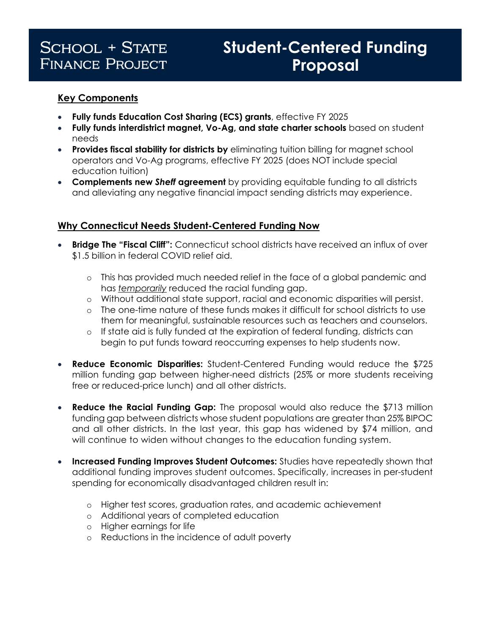## **SCHOOL + STATE FINANCE PROJECT**

# **Student-Centered Funding** Proposal

## **Key Components**

- **Fully funds Education Cost Sharing (ECS) grants**, effective FY 2025
- **Fully funds interdistrict magnet, Vo-Ag, and state charter schools** based on student needs
- **Provides fiscal stability for districts by** eliminating tuition billing for magnet school operators and Vo-Ag programs, effective FY 2025 (does NOT include special education tuition)
- **Complements new** *Sheff* **agreement** by providing equitable funding to all districts and alleviating any negative financial impact sending districts may experience.

### **Why Connecticut Needs Student-Centered Funding Now**

- **Bridge The "Fiscal Cliff":** Connecticut school districts have received an influx of over \$1.5 billion in federal COVID relief aid.
	- o This has provided much needed relief in the face of a global pandemic and has *temporarily* reduced the racial funding gap.
	- o Without additional state support, racial and economic disparities will persist.
	- o The one-time nature of these funds makes it difficult for school districts to use them for meaningful, sustainable resources such as teachers and counselors.
	- o If state aid is fully funded at the expiration of federal funding, districts can begin to put funds toward reoccurring expenses to help students now.
- **Reduce Economic Disparities:** Student-Centered Funding would reduce the \$725 million funding gap between higher-need districts (25% or more students receiving free or reduced-price lunch) and all other districts.
- **Reduce the Racial Funding Gap:** The proposal would also reduce the \$713 million funding gap between districts whose student populations are greater than 25% BIPOC and all other districts. In the last year, this gap has widened by \$74 million, and will continue to widen without changes to the education funding system.
- **Increased Funding Improves Student Outcomes:** Studies have repeatedly shown that additional funding improves student outcomes. Specifically, increases in per-student spending for economically disadvantaged children result in:
	- o Higher test scores, graduation rates, and academic achievement
	- o Additional years of completed education
	- o Higher earnings for life
	- o Reductions in the incidence of adult poverty